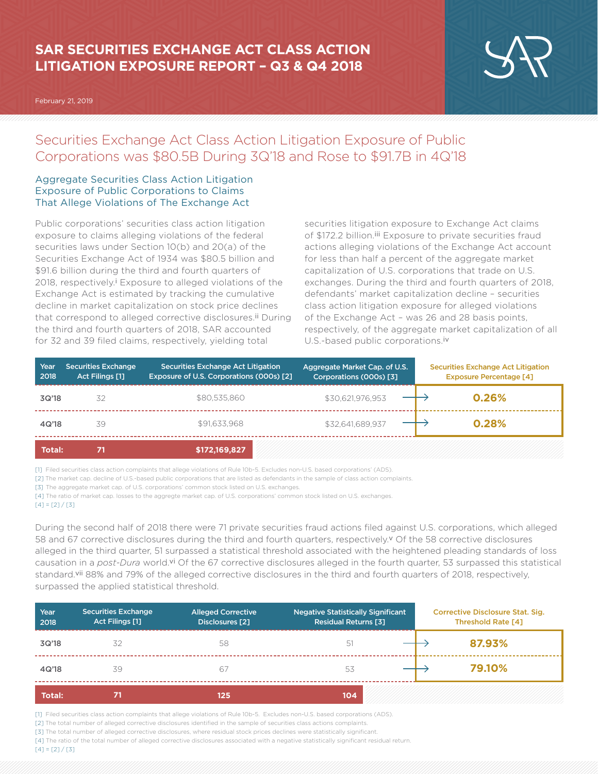# **SAR SECURITIES EXCHANGE ACT CLASS ACTION LITIGATION EXPOSURE REPORT – Q3 & Q4 2018**

February 21, 2019



## Securities Exchange Act Class Action Litigation Exposure of Public Corporations was \$80.5B During 3Q'18 and Rose to \$91.7B in 4Q'18

## Aggregate Securities Class Action Litigation Exposure of Public Corporations to Claims That Allege Violations of The Exchange Act

Public corporations' securities class action litigation exposure to claims alleging violations of the federal securities laws under Section 10(b) and 20(a) of the Securities Exchange Act of 1934 was \$80.5 billion and \$91.6 billion during the third and fourth quarters of 2018, respectively.<sup>i</sup> Exposure to alleged violations of the Exchange Act is estimated by tracking the cumulative decline in market capitalization on stock price declines that correspond to alleged corrective disclosures.<sup>ii</sup> During the third and fourth quarters of 2018, SAR accounted for 32 and 39 filed claims, respectively, yielding total

securities litigation exposure to Exchange Act claims of \$172.2 billion.<sup>iii</sup> Exposure to private securities fraud actions alleging violations of the Exchange Act account for less than half a percent of the aggregate market capitalization of U.S. corporations that trade on U.S. exchanges. During the third and fourth quarters of 2018, defendants' market capitalization decline – securities class action litigation exposure for alleged violations of the Exchange Act – was 26 and 28 basis points, respectively, of the aggregate market capitalization of all U.S.-based public corporations.iv

| Year<br>2018  | <b>Securities Exchange</b><br><b>Act Filings [1]</b> | Securities Exchange Act Litigation<br>Exposure of U.S. Corporations (000s) [2] | Aggregate Market Cap. of U.S.<br>Corporations (000s) [3] | <b>Securities Exchange Act Litigation</b><br><b>Exposure Percentage [4]</b> |
|---------------|------------------------------------------------------|--------------------------------------------------------------------------------|----------------------------------------------------------|-----------------------------------------------------------------------------|
| 3Q'18         | 32                                                   | \$80,535,860                                                                   | \$30,621,976,953                                         | 0.26%                                                                       |
| 4Q'18         | 39                                                   | \$91,633,968                                                                   | \$32.641.689.937                                         | 0.28%                                                                       |
| <b>Total:</b> |                                                      | \$172,169,827                                                                  |                                                          |                                                                             |

[1] Filed securities class action complaints that allege violations of Rule 10b-5. Excludes non-U.S. based corporations' (ADS).

[2] The market cap. decline of U.S.-based public corporations that are listed as defendants in the sample of class action complaints.

[3] The aggregate market cap. of U.S. corporations' common stock listed on U.S. exchanges.

[4] The ratio of market cap. losses to the aggregte market cap. of U.S. corporations' common stock listed on U.S. exchanges.

#### $[4] = [2]/[3]$

During the second half of 2018 there were 71 private securities fraud actions filed against U.S. corporations, which alleged 58 and 67 corrective disclosures during the third and fourth quarters, respectively.v Of the 58 corrective disclosures alleged in the third quarter, 51 surpassed a statistical threshold associated with the heightened pleading standards of loss causation in a *post-Dura* world.vi Of the 67 corrective disclosures alleged in the fourth quarter, 53 surpassed this statistical standard.vii 88% and 79% of the alleged corrective disclosures in the third and fourth quarters of 2018, respectively, surpassed the applied statistical threshold.

| Year<br>2018  | <b>Securities Exchange</b><br>Act Filings [1] | <b>Alleged Corrective</b><br>Disclosures [2] | <b>Negative Statistically Significant</b><br>Residual Returns [3] | <b>Corrective Disclosure Stat. Sig.</b><br><b>Threshold Rate [4]</b> |
|---------------|-----------------------------------------------|----------------------------------------------|-------------------------------------------------------------------|----------------------------------------------------------------------|
| 3Q'18         | 32                                            | 58                                           | 51                                                                | 87.93%                                                               |
| 4Q'18         | 39                                            | 67                                           | 53                                                                | 79.10%                                                               |
| <b>Total:</b> |                                               | 125                                          | 104                                                               |                                                                      |

[1] Filed securities class action complaints that allege violations of Rule 10b-5. Excludes non-U.S. based corporations (ADS).

[2] The total number of alleged corrective disclosures identified in the sample of securities class actions complaints.

[3] The total number of alleged corrective disclosures, where residual stock prices declines were statistically significant.

[4] The ratio of the total number of alleged corrective disclosures associated with a negative statistically significant residual return.

 $[4] = [2]/[3]$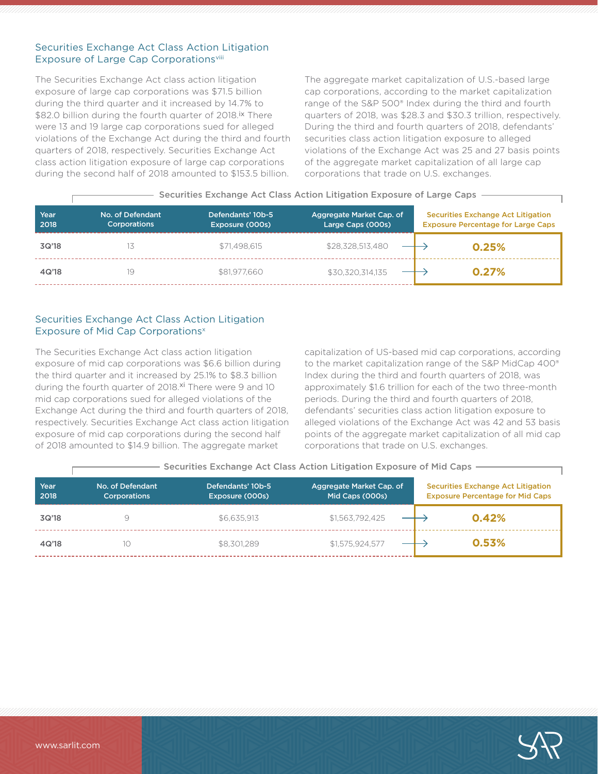#### Securities Exchange Act Class Action Litigation Exposure of Large Cap Corporationsvill

The Securities Exchange Act class action litigation exposure of large cap corporations was \$71.5 billion during the third quarter and it increased by 14.7% to \$82.0 billion during the fourth quarter of 2018.<sup>ix</sup> There were 13 and 19 large cap corporations sued for alleged violations of the Exchange Act during the third and fourth quarters of 2018, respectively. Securities Exchange Act class action litigation exposure of large cap corporations during the second half of 2018 amounted to \$153.5 billion.

The aggregate market capitalization of U.S.-based large cap corporations, according to the market capitalization range of the S&P 500® Index during the third and fourth quarters of 2018, was \$28.3 and \$30.3 trillion, respectively. During the third and fourth quarters of 2018, defendants' securities class action litigation exposure to alleged violations of the Exchange Act was 25 and 27 basis points of the aggregate market capitalization of all large cap corporations that trade on U.S. exchanges.

|  |  |  |  |  |  | - Securities Exchange Act Class Action Litigation Exposure of Large Caps |
|--|--|--|--|--|--|--------------------------------------------------------------------------|
|--|--|--|--|--|--|--------------------------------------------------------------------------|

| Year<br>2018 | No. of Defendant<br><b>Corporations</b> | Defendants' 10b-5<br>Exposure (000s) | Aggregate Market Cap. of<br>Large Caps (000s) | <b>Securities Exchange Act Litigation</b><br><b>Exposure Percentage for Large Caps</b> |
|--------------|-----------------------------------------|--------------------------------------|-----------------------------------------------|----------------------------------------------------------------------------------------|
| 3Q'18        |                                         | \$71.498.615                         | \$28,328,513,480                              | 0.25%                                                                                  |
| 4Q'18        | 19                                      | \$81,977,660                         | \$30,320,314,135                              | 0.27%                                                                                  |

### Securities Exchange Act Class Action Litigation Exposure of Mid Cap Corporations<sup>x</sup>

The Securities Exchange Act class action litigation exposure of mid cap corporations was \$6.6 billion during the third quarter and it increased by 25.1% to \$8.3 billion during the fourth quarter of 2018.<sup>xi</sup> There were 9 and 10 mid cap corporations sued for alleged violations of the Exchange Act during the third and fourth quarters of 2018, respectively. Securities Exchange Act class action litigation exposure of mid cap corporations during the second half of 2018 amounted to \$14.9 billion. The aggregate market

capitalization of US-based mid cap corporations, according to the market capitalization range of the S&P MidCap 400® Index during the third and fourth quarters of 2018, was approximately \$1.6 trillion for each of the two three-month periods. During the third and fourth quarters of 2018, defendants' securities class action litigation exposure to alleged violations of the Exchange Act was 42 and 53 basis points of the aggregate market capitalization of all mid cap corporations that trade on U.S. exchanges.

|              | OCCATING EVAINING ACT CROSS ACTION ENGRION EXPOSURE OF FINE COPS |                                      |                                             |                                                                                      |  |
|--------------|------------------------------------------------------------------|--------------------------------------|---------------------------------------------|--------------------------------------------------------------------------------------|--|
| Year<br>2018 | No. of Defendant<br>Corporations                                 | Defendants' 10b-5<br>Exposure (000s) | Aggregate Market Cap. of<br>Mid Caps (000s) | <b>Securities Exchange Act Litigation</b><br><b>Exposure Percentage for Mid Caps</b> |  |
| 3Q'18        |                                                                  | \$6.635.913                          | \$1,563,792,425                             | 0.42%                                                                                |  |
| 4Q'18        | 10                                                               | \$8,301,289                          | \$1,575,924,577                             | 0.53%                                                                                |  |

### Securities Exchange Act Class Action Litigation Exposure of Mid Caps